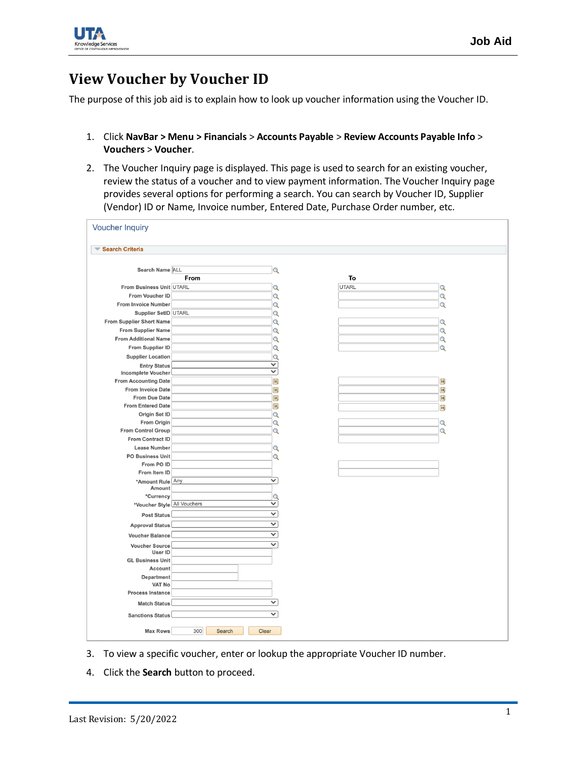

## **View Voucher by Voucher ID**

The purpose of this job aid is to explain how to look up voucher information using the Voucher ID.

- 1. Click **NavBar > Menu > Financials** > **Accounts Payable** > **Review Accounts Payable Info** > **Vouchers** > **Voucher**.
- 2. The Voucher Inquiry page is displayed. This page is used to search for an existing voucher, review the status of a voucher and to view payment information. The Voucher Inquiry page provides several options for performing a search. You can search by Voucher ID, Supplier (Vendor) ID or Name, Invoice number, Entered Date, Purchase Order number, etc.

| <b>Search Criteria</b>                               |      |                         |              |              |
|------------------------------------------------------|------|-------------------------|--------------|--------------|
| Search Name ALL                                      |      | Q                       |              |              |
|                                                      | From |                         | To           |              |
| From Business Unit UTARL                             |      | Q                       | <b>UTARL</b> | Q            |
| From Voucher ID                                      |      | $\overline{Q}$          |              | $\alpha$     |
| <b>From Invoice Number</b>                           |      | $\mathbf Q$             |              | Q            |
| Supplier SetID UTARL                                 |      | $\overline{Q}$          |              |              |
| From Supplier Short Name                             |      | Q                       |              | Q            |
| <b>From Supplier Name</b>                            |      | Q                       |              | Q            |
| <b>From Additional Name</b>                          |      | Q                       |              | Q            |
| From Supplier ID                                     |      | Q                       |              | Q            |
| <b>Supplier Location</b>                             |      | $\alpha$                |              |              |
| <b>Entry Status</b>                                  |      | $\checkmark$            |              |              |
| <b>Incomplete Voucher</b>                            |      | $\overline{\mathsf{v}}$ |              |              |
| <b>From Accounting Date</b>                          |      | B                       |              | $\mathbf{B}$ |
| <b>From Invoice Date</b>                             |      | E                       |              | E            |
| From Due Date                                        |      | 同                       |              | BI           |
| <b>From Entered Date</b>                             |      | E                       |              | BU           |
| Origin Set ID                                        |      | Q                       |              |              |
| From Origin                                          |      | $\alpha$                |              | Q            |
| <b>From Control Group</b><br><b>From Contract ID</b> |      | $\alpha$                |              | Q            |
| <b>Lease Number</b>                                  |      |                         |              |              |
| <b>PO Business Unit</b>                              |      | $\alpha$<br>$\alpha$    |              |              |
| From PO ID                                           |      |                         |              |              |
| From Item ID                                         |      |                         |              |              |
| *Amount Rule Any                                     |      | $\overline{\mathsf{v}}$ |              |              |
| Amount                                               |      |                         |              |              |
| *Currency                                            |      | $\mathbf Q$             |              |              |
| *Voucher Style All Vouchers                          |      | $\overline{\mathsf{v}}$ |              |              |
| <b>Post Status</b>                                   |      | $\checkmark$            |              |              |
| <b>Approval Status</b>                               |      | $\overline{\mathsf{v}}$ |              |              |
| <b>Voucher Balance</b>                               |      | $\overline{\mathsf{v}}$ |              |              |
| <b>Voucher Source</b>                                |      | $\overline{\check{}}$   |              |              |
| User ID                                              |      |                         |              |              |
| <b>GL Business Unit</b>                              |      |                         |              |              |
| Account                                              |      |                         |              |              |
| Department                                           |      |                         |              |              |
| <b>VAT No</b>                                        |      |                         |              |              |
| <b>Process Instance</b>                              |      |                         |              |              |
| <b>Match Status</b>                                  |      | $\checkmark$            |              |              |
| <b>Sanctions Status</b>                              |      | $\checkmark$            |              |              |

- 3. To view a specific voucher, enter or lookup the appropriate Voucher ID number.
- 4. Click the **Search** button to proceed.